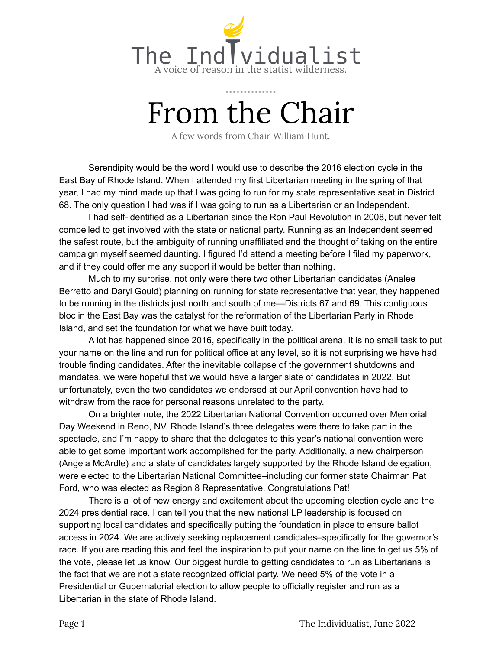

# From the Chair

A few words from Chair William Hunt.

Serendipity would be the word I would use to describe the 2016 election cycle in the East Bay of Rhode Island. When I attended my first Libertarian meeting in the spring of that year, I had my mind made up that I was going to run for my state representative seat in District 68. The only question I had was if I was going to run as a Libertarian or an Independent.

I had self-identified as a Libertarian since the Ron Paul Revolution in 2008, but never felt compelled to get involved with the state or national party. Running as an Independent seemed the safest route, but the ambiguity of running unaffiliated and the thought of taking on the entire campaign myself seemed daunting. I figured I'd attend a meeting before I filed my paperwork, and if they could offer me any support it would be better than nothing.

Much to my surprise, not only were there two other Libertarian candidates (Analee Berretto and Daryl Gould) planning on running for state representative that year, they happened to be running in the districts just north and south of me—Districts 67 and 69. This contiguous bloc in the East Bay was the catalyst for the reformation of the Libertarian Party in Rhode Island, and set the foundation for what we have built today.

A lot has happened since 2016, specifically in the political arena. It is no small task to put your name on the line and run for political office at any level, so it is not surprising we have had trouble finding candidates. After the inevitable collapse of the government shutdowns and mandates, we were hopeful that we would have a larger slate of candidates in 2022. But unfortunately, even the two candidates we endorsed at our April convention have had to withdraw from the race for personal reasons unrelated to the party.

On a brighter note, the 2022 Libertarian National Convention occurred over Memorial Day Weekend in Reno, NV. Rhode Island's three delegates were there to take part in the spectacle, and I'm happy to share that the delegates to this year's national convention were able to get some important work accomplished for the party. Additionally, a new chairperson (Angela McArdle) and a slate of candidates largely supported by the Rhode Island delegation, were elected to the Libertarian National Committee–including our former state Chairman Pat Ford, who was elected as Region 8 Representative. Congratulations Pat!

There is a lot of new energy and excitement about the upcoming election cycle and the 2024 presidential race. I can tell you that the new national LP leadership is focused on supporting local candidates and specifically putting the foundation in place to ensure ballot access in 2024. We are actively seeking replacement candidates–specifically for the governor's race. If you are reading this and feel the inspiration to put your name on the line to get us 5% of the vote, please let us know. Our biggest hurdle to getting candidates to run as Libertarians is the fact that we are not a state recognized official party. We need 5% of the vote in a Presidential or Gubernatorial election to allow people to officially register and run as a Libertarian in the state of Rhode Island.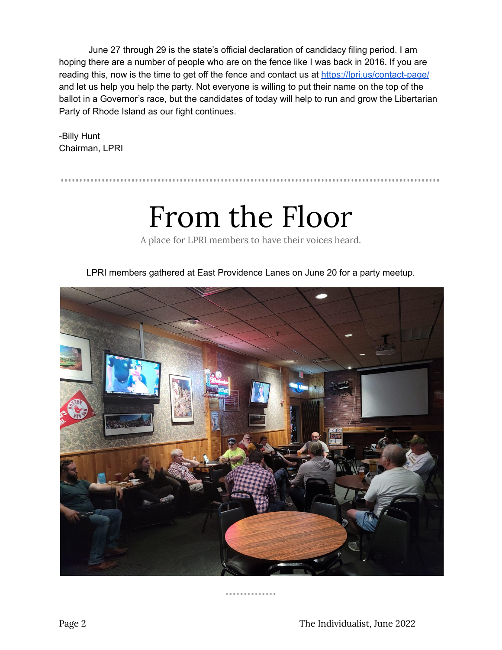June 27 through 29 is the state's official declaration of candidacy filing period. I am hoping there are a number of people who are on the fence like I was back in 2016. If you are reading this, now is the time to get off the fence and contact us at <https://lpri.us/contact-page/> and let us help you help the party. Not everyone is willing to put their name on the top of the ballot in a Governor's race, but the candidates of today will help to run and grow the Libertarian Party of Rhode Island as our fight continues.

-Billy Hunt Chairman, LPRI

### From the Floor

A place for LPRI members to have their voices heard.

LPRI members gathered at East Providence Lanes on June 20 for a party meetup.



#### . . . . . . . . . . . . . .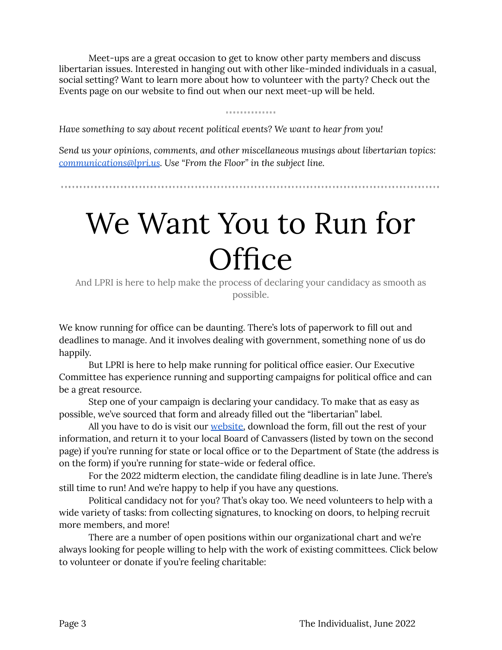Meet-ups are a great occasion to get to know other party members and discuss libertarian issues. Interested in hanging out with other like-minded individuals in a casual, social setting? Want to learn more about how to volunteer with the party? Check out the Events page on our website to find out when our next meet-up will be held.

#### .............

*Have something to say about recent political events? We want to hear from you!*

*Send us your opinions, comments, and other miscellaneous musings about libertarian topics: [communications@lpri.us](mailto:communications@lpri.us). Use "From the Floor" in the subject line.*

# We Want You to Run for **Office**

And LPRI is here to help make the process of declaring your candidacy as smooth as possible.

We know running for office can be daunting. There's lots of paperwork to fill out and deadlines to manage. And it involves dealing with government, something none of us do happily.

But LPRI is here to help make running for political office easier. Our Executive Committee has experience running and supporting campaigns for political office and can be a great resource.

Step one of your campaign is declaring your candidacy. To make that as easy as possible, we've sourced that form and already filled out the "libertarian" label.

All you have to do is visit our **website**, download the form, fill out the rest of your information, and return it to your local Board of Canvassers (listed by town on the second page) if you're running for state or local office or to the Department of State (the address is on the form) if you're running for state-wide or federal office.

For the 2022 midterm election, the candidate filing deadline is in late June. There's still time to run! And we're happy to help if you have any questions.

Political candidacy not for you? That's okay too. We need volunteers to help with a wide variety of tasks: from collecting signatures, to knocking on doors, to helping recruit more members, and more!

There are a number of open positions within our organizational chart and we're always looking for people willing to help with the work of existing committees. Click below to volunteer or donate if you're feeling charitable: